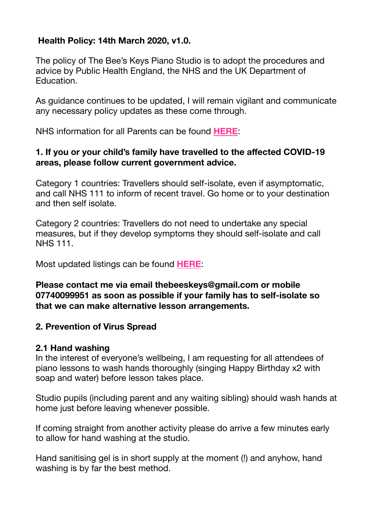# **Health Policy: 14th March 2020, v1.0.**

The policy of The Bee's Keys Piano Studio is to adopt the procedures and advice by Public Health England, the NHS and the UK Department of Education.

As guidance continues to be updated, I will remain vigilant and communicate any necessary policy updates as these come through.

NHS information for all Parents can be found **[HERE](https://www.nhs.uk/conditions/coronavirus-covid-19/)**:

### **1. If you or your child's family have travelled to the affected COVID-19 areas, please follow current government advice.**

Category 1 countries: Travellers should self-isolate, even if asymptomatic, and call NHS 111 to inform of recent travel. Go home or to your destination and then self isolate.

Category 2 countries: Travellers do not need to undertake any special measures, but if they develop symptoms they should self-isolate and call NHS 111.

Most updated listings can be found **[HERE](https://www.gov.uk/government/publications/covid-19-specified-countries-and-areas/covid-19-specified-countries-and-areas-with-implications-for-returning-travellers-or-visitors-arriving-in-the-uk)**:

**Please contact me via email thebeeskeys@gmail.com or mobile 07740099951 as soon as possible if your family has to self-isolate so that we can make alternative lesson arrangements.** 

# **2. Prevention of Virus Spread**

# **2.1 Hand washing**

In the interest of everyone's wellbeing, I am requesting for all attendees of piano lessons to wash hands thoroughly (singing Happy Birthday x2 with soap and water) before lesson takes place.

Studio pupils (including parent and any waiting sibling) should wash hands at home just before leaving whenever possible.

If coming straight from another activity please do arrive a few minutes early to allow for hand washing at the studio.

Hand sanitising gel is in short supply at the moment (!) and anyhow, hand washing is by far the best method.